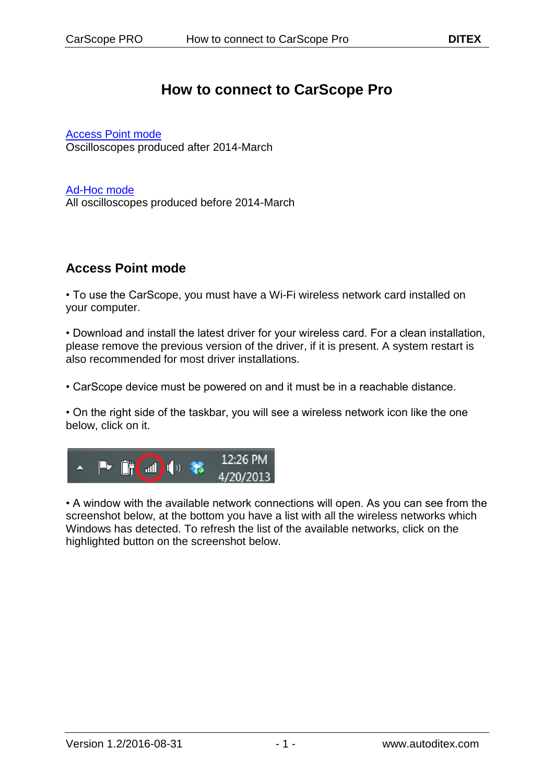# **How to connect to CarScope Pro**

<span id="page-0-1"></span>[Access Point mode](#page-0-0)

Oscilloscopes produced after 2014-March

[Ad-Hoc mode](#page-3-0)

All oscilloscopes produced before 2014-March

# <span id="page-0-0"></span>**Access Point mode**

• To use the CarScope, you must have a Wi-Fi wireless network card installed on your computer.

• Download and install the latest driver for your wireless card. For a clean installation, please remove the previous version of the driver, if it is present. A system restart is also recommended for most driver installations.

• CarScope device must be powered on and it must be in a reachable distance.

• On the right side of the taskbar, you will see a wireless network icon like the one below, click on it.



• A window with the available network connections will open. As you can see from the screenshot below, at the bottom you have a list with all the wireless networks which Windows has detected. To refresh the list of the available networks, click on the highlighted button on the screenshot below.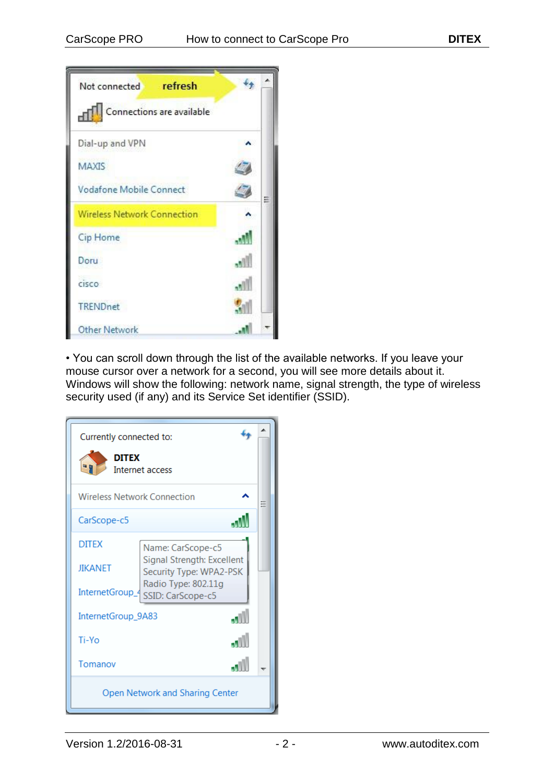

• You can scroll down through the list of the available networks. If you leave your mouse cursor over a network for a second, you will see more details about it. Windows will show the following: network name, signal strength, the type of wireless security used (if any) and its Service Set identifier (SSID).

| Currently connected to:<br><b>DITEX</b><br>Internet access |                                                          |  |
|------------------------------------------------------------|----------------------------------------------------------|--|
| <b>Wireless Network Connection</b>                         |                                                          |  |
| CarScope-c5                                                |                                                          |  |
| <b>DITEX</b>                                               | Name: CarScope-c5                                        |  |
| <b>JIKANET</b>                                             | Signal Strength: Excellent<br>Security Type: WPA2-PSK    |  |
|                                                            | Radio Type: 802.11g<br>InternetGroup_4 SSID: CarScope-c5 |  |
| InternetGroup_9A83                                         |                                                          |  |
| Ti-Yo                                                      |                                                          |  |
| Tomanov                                                    |                                                          |  |
| Open Network and Sharing Center                            |                                                          |  |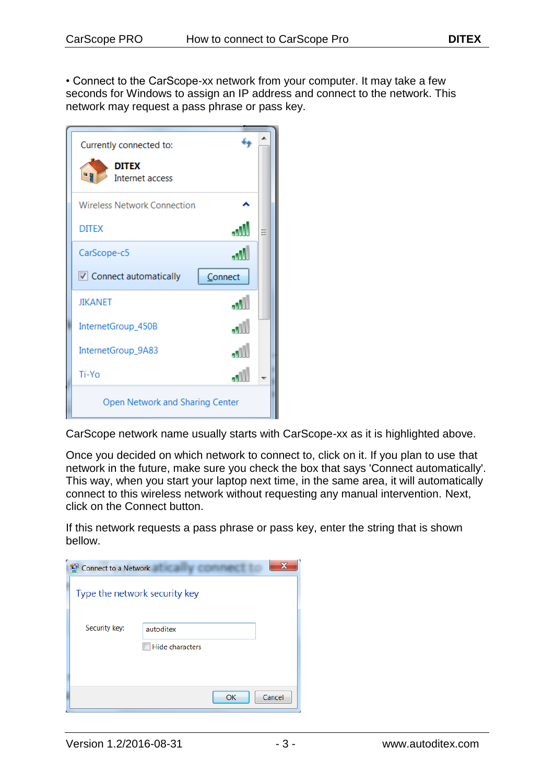• Connect to the CarScope-xx network from your computer. It may take a few

seconds for Windows to assign an IP address and connect to the network. This network may request a pass phrase or pass key.

| Currently connected to:<br><b>DITEX</b><br>Internet access |      |  |
|------------------------------------------------------------|------|--|
| <b>Wireless Network Connection</b>                         |      |  |
| <b>DITEX</b>                                               |      |  |
| CarScope-c5                                                |      |  |
| ✔ Connect automatically                                    | nect |  |
| <b>JIKANET</b>                                             |      |  |
| InternetGroup_450B                                         | ٠H   |  |
| InternetGroup_9A83                                         |      |  |
| Ti-Yo                                                      |      |  |
| Open Network and Sharing Center                            |      |  |

CarScope network name usually starts with CarScope-xx as it is highlighted above.

Once you decided on which network to connect to, click on it. If you plan to use that network in the future, make sure you check the box that says 'Connect automatically'. This way, when you start your laptop next time, in the same area, it will automatically connect to this wireless network without requesting any manual intervention. Next, click on the Connect button.

If this network requests a pass phrase or pass key, enter the string that is shown bellow.

| <b>Connect to a Network</b>   |                        |        |
|-------------------------------|------------------------|--------|
| Type the network security key |                        |        |
| Security key:                 | autoditex              |        |
|                               | <b>Hide characters</b> |        |
|                               |                        |        |
|                               | OK                     | Cancel |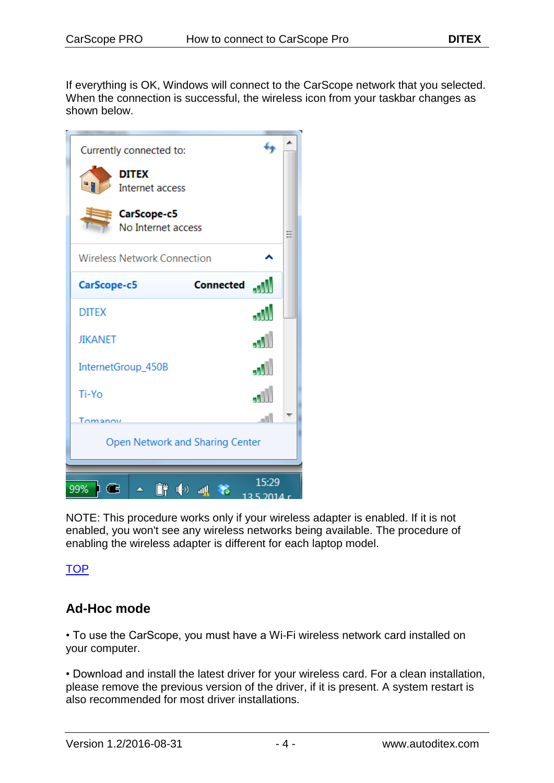If everything is OK, Windows will connect to the CarScope network that you selected. When the connection is successful, the wireless icon from your taskbar changes as shown below.

| Currently connected to:              |  |  |
|--------------------------------------|--|--|
| <b>DITEX</b><br>Internet access      |  |  |
| CarScope-c5<br>No Internet access    |  |  |
| <b>Wireless Network Connection</b>   |  |  |
| <b>Connected</b><br>CarScope-c5      |  |  |
| <b>DITEX</b><br>الله                 |  |  |
| <b>JIKANET</b><br>۰M                 |  |  |
| InternetGroup_450B<br>٠M             |  |  |
| Ti-Yo<br>الرو                        |  |  |
| лU<br>Tomanow                        |  |  |
| Open Network and Sharing Center      |  |  |
| 15:29<br>自己の<br>99%<br>щI<br>Е<br>٩ŏ |  |  |

NOTE: This procedure works only if your wireless adapter is enabled. If it is not enabled, you won't see any wireless networks being available. The procedure of enabling the wireless adapter is different for each laptop model.

[TOP](#page-0-1)

## <span id="page-3-0"></span>**Ad-Hoc mode**

• To use the CarScope, you must have a Wi-Fi wireless network card installed on your computer.

• Download and install the latest driver for your wireless card. For a clean installation, please remove the previous version of the driver, if it is present. A system restart is also recommended for most driver installations.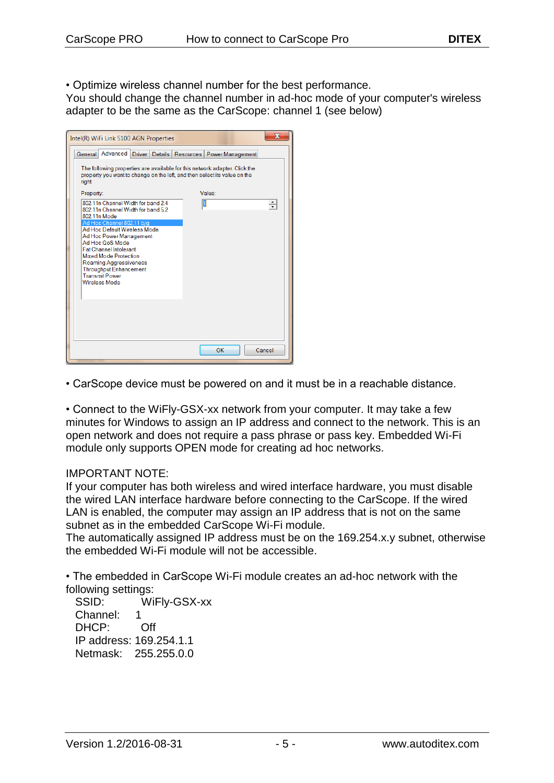• Optimize wireless channel number for the best performance.

You should change the channel number in ad-hoc mode of your computer's wireless adapter to be the same as the CarScope: channel 1 (see below)

| X<br>Intel(R) WiFi Link 5100 AGN Properties                                                                                                                                                                                                                                          |                                        |  |  |
|--------------------------------------------------------------------------------------------------------------------------------------------------------------------------------------------------------------------------------------------------------------------------------------|----------------------------------------|--|--|
| Advanced<br>General<br>Driver                                                                                                                                                                                                                                                        | Details   Resources   Power Management |  |  |
| The following properties are available for this network adapter. Click the<br>property you want to change on the left, and then select its value on the<br><b>right</b>                                                                                                              |                                        |  |  |
| Property:                                                                                                                                                                                                                                                                            | Value:                                 |  |  |
| 802.11n Channel Width for band 2.4<br>802 11n Channel Width for band 5.2<br>802.11n Mode                                                                                                                                                                                             | ÷                                      |  |  |
| Ad Hoc Channel 802.11 b/g<br>Ad Hoc Default Wireless Mode<br>Ad Hoc Power Management<br>Ad Hoc QoS Mode<br><b>Fat Channel Intolerant</b><br><b>Mixed Mode Protection</b><br>Roaming Aggressiveness<br><b>Throughput Enhancement</b><br><b>Transmit Power</b><br><b>Wireless Mode</b> |                                        |  |  |
|                                                                                                                                                                                                                                                                                      |                                        |  |  |
|                                                                                                                                                                                                                                                                                      | OK<br>Cancel                           |  |  |

• CarScope device must be powered on and it must be in a reachable distance.

• Connect to the WiFly-GSX-xx network from your computer. It may take a few minutes for Windows to assign an IP address and connect to the network. This is an open network and does not require a pass phrase or pass key. Embedded Wi-Fi module only supports OPEN mode for creating ad hoc networks.

### IMPORTANT NOTE:

If your computer has both wireless and wired interface hardware, you must disable the wired LAN interface hardware before connecting to the CarScope. If the wired LAN is enabled, the computer may assign an IP address that is not on the same subnet as in the embedded CarScope Wi-Fi module.

The automatically assigned IP address must be on the 169.254.x.y subnet, otherwise the embedded Wi-Fi module will not be accessible.

• The embedded in CarScope Wi-Fi module creates an ad-hoc network with the following settings:

 SSID: WiFly-GSX-xx Channel: 1 DHCP: Off IP address: 169.254.1.1 Netmask: 255.255.0.0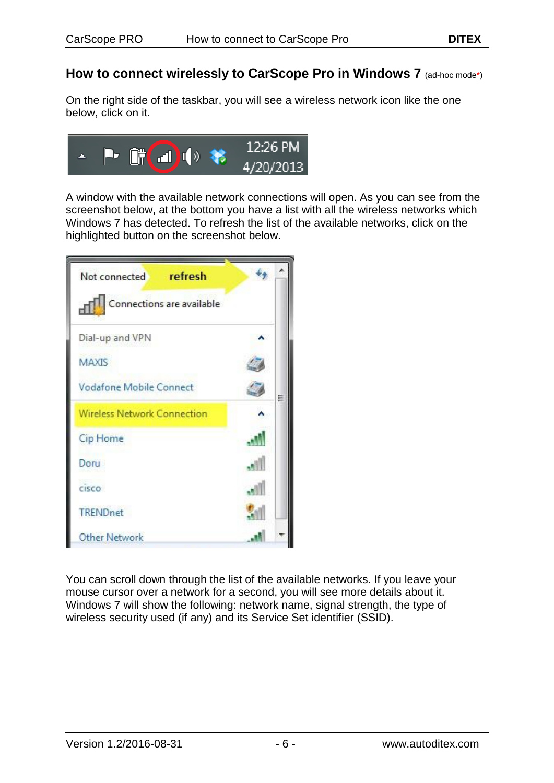### **How to connect wirelessly to CarScope Pro in Windows 7** (ad-hoc mode\*)

On the right side of the taskbar, you will see a wireless network icon like the one below, click on it.



A window with the available network connections will open. As you can see from the screenshot below, at the bottom you have a list with all the wireless networks which Windows 7 has detected. To refresh the list of the available networks, click on the highlighted button on the screenshot below.

| Not connected refresh              |   |
|------------------------------------|---|
| Connections are available          |   |
| Dial-up and VPN                    |   |
| <b>MAXIS</b>                       |   |
| Vodafone Mobile Connect            | Ξ |
| <b>Wireless Network Connection</b> |   |
| Cip Home                           |   |
| Doru                               |   |
| <b>CISCO</b>                       |   |
| TRENDnet                           |   |
| <b>Other Network</b>               |   |

You can scroll down through the list of the available networks. If you leave your mouse cursor over a network for a second, you will see more details about it. Windows 7 will show the following: network name, signal strength, the type of wireless security used (if any) and its Service Set identifier (SSID).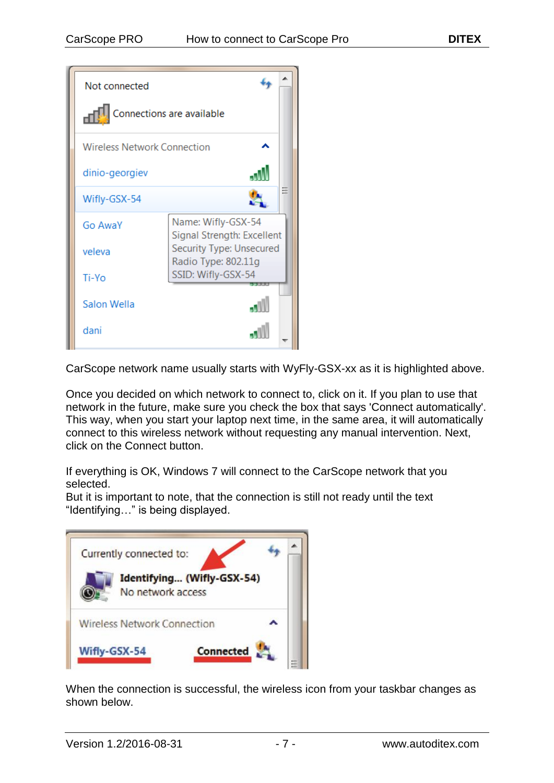| Not connected                      |                                                  |
|------------------------------------|--------------------------------------------------|
|                                    | Connections are available                        |
| <b>Wireless Network Connection</b> |                                                  |
| dinio-georgiev                     |                                                  |
| Wifly-GSX-54                       |                                                  |
| <b>Go AwaY</b>                     | Name: Wifly-GSX-54<br>Signal Strength: Excellent |
| veleva                             | Security Type: Unsecured<br>Radio Type: 802.11g  |
| Ti-Yo                              | SSID: Wifly-GSX-54                               |
| <b>Salon Wella</b>                 |                                                  |
| dani                               |                                                  |

CarScope network name usually starts with WyFly-GSX-xx as it is highlighted above.

Once you decided on which network to connect to, click on it. If you plan to use that network in the future, make sure you check the box that says 'Connect automatically'. This way, when you start your laptop next time, in the same area, it will automatically connect to this wireless network without requesting any manual intervention. Next, click on the Connect button.

If everything is OK, Windows 7 will connect to the CarScope network that you selected.

But it is important to note, that the connection is still not ready until the text "Identifying…" is being displayed.

| Currently connected to:     |                            |  |
|-----------------------------|----------------------------|--|
| No network access           | Identifying (Wifly-GSX-54) |  |
| Wireless Network Connection |                            |  |
| Wifly-GSX-54                | Connected                  |  |

When the connection is successful, the wireless icon from your taskbar changes as shown below.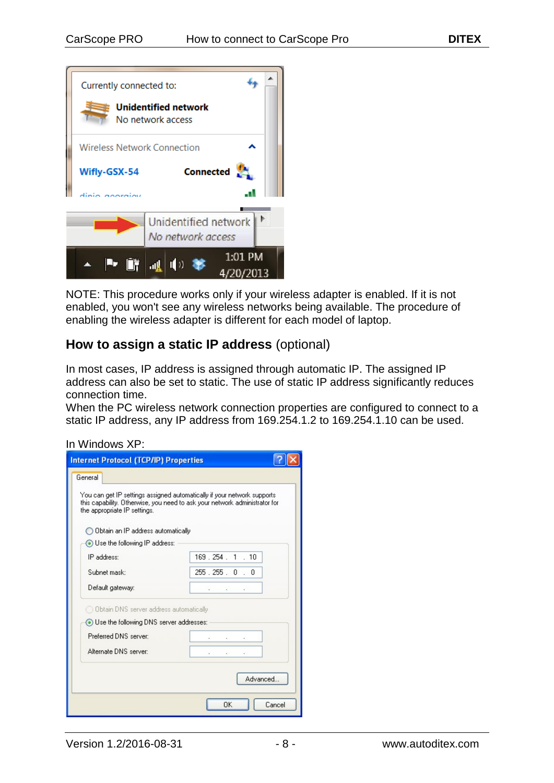

NOTE: This procedure works only if your wireless adapter is enabled. If it is not enabled, you won't see any wireless networks being available. The procedure of enabling the wireless adapter is different for each model of laptop.

### **How to assign a static IP address** (optional)

In most cases, IP address is assigned through automatic IP. The assigned IP address can also be set to static. The use of static IP address significantly reduces connection time.

When the PC wireless network connection properties are configured to connect to a static IP address, any IP address from 169.254.1.2 to 169.254.1.10 can be used.

#### In Windows XP:

| Internet Protocol (TCP/IP) Properties<br>General |                                                                                                                                                        |  |
|--------------------------------------------------|--------------------------------------------------------------------------------------------------------------------------------------------------------|--|
| the appropriate IP settings.                     | You can get IP settings assigned automatically if your network supports.<br>this capability. Otherwise, you need to ask your network administrator for |  |
| Obtain an IP address automatically               |                                                                                                                                                        |  |
| ⊙ Use the following IP address:                  |                                                                                                                                                        |  |
| IP address:                                      | 169 254 1 10                                                                                                                                           |  |
| Subnet mask:                                     | 255.255.0.0                                                                                                                                            |  |
| Default gateway:                                 |                                                                                                                                                        |  |
| Obtain DNS server address automatically          |                                                                                                                                                        |  |
| ⊙ Use the following DNS server addresses:        |                                                                                                                                                        |  |
| Preferred DNS server:                            |                                                                                                                                                        |  |
| Alternate DNS server:                            |                                                                                                                                                        |  |
|                                                  | Advanced                                                                                                                                               |  |
| OK<br>Cancel                                     |                                                                                                                                                        |  |